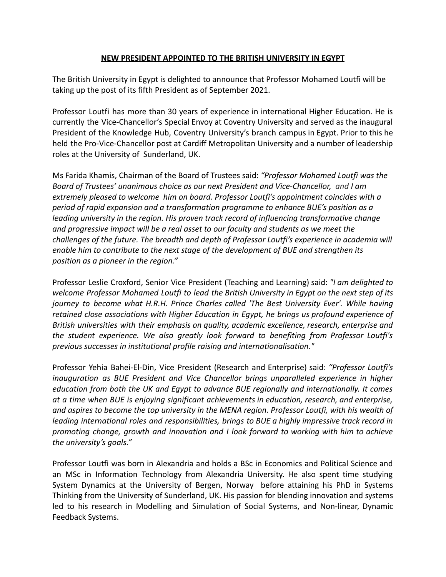## **NEW PRESIDENT APPOINTED TO THE BRITISH UNIVERSITY IN EGYPT**

The British University in Egypt is delighted to announce that Professor Mohamed Loutfi will be taking up the post of its fifth President as of September 2021.

Professor Loutfi has more than 30 years of experience in international Higher Education. He is currently the Vice-Chancellor's Special Envoy at Coventry University and served as the inaugural President of the Knowledge Hub, Coventry University's branch campus in Egypt. Prior to this he held the Pro-Vice-Chancellor post at Cardiff Metropolitan University and a number of leadership roles at the University of Sunderland, UK.

Ms Farida Khamis, Chairman of the Board of Trustees said: *"Professor Mohamed Loutfi was the Board of Trustees' unanimous choice as our next President and Vice-Chancellor, and I am extremely pleased to welcome him on board. Professor Loutfi's appointment coincides with a period of rapid expansion and a transformation programme to enhance BUE's position as a leading university in the region. His proven track record of influencing transformative change and progressive impact will be a real asset to our faculty and students as we meet the challenges of the future. The breadth and depth of Professor Loutfi's experience in academia will enable him to contribute to the next stage of the development of BUE and strengthen its position as a pioneer in the region."*

Professor Leslie Croxford, Senior Vice President (Teaching and Learning) said: *"I am delighted to welcome Professor Mohamed Loutfi to lead the British University in Egypt on the next step of its journey to become what H.R.H. Prince Charles called 'The Best University Ever'. While having retained close associations with Higher Education in Egypt, he brings us profound experience of British universities with their emphasis on quality, academic excellence, research, enterprise and the student experience. We also greatly look forward to benefiting from Professor Loutfi's previous successes in institutional profile raising and internationalisation."*

Professor Yehia Bahei-El-Din, Vice President (Research and Enterprise) said: *"Professor Loutfi's inauguration as BUE President and Vice Chancellor brings unparalleled experience in higher education from both the UK and Egypt to advance BUE regionally and internationally. It comes at a time when BUE is enjoying significant achievements in education, research, and enterprise, and aspires to become the top university in the MENA region. Professor Loutfi, with his wealth of leading international roles and responsibilities, brings to BUE a highly impressive track record in promoting change, growth and innovation and I look forward to working with him to achieve the university's goals."*

Professor Loutfi was born in Alexandria and holds a BSc in Economics and Political Science and an MSc in Information Technology from Alexandria University. He also spent time studying System Dynamics at the University of Bergen, Norway before attaining his PhD in Systems Thinking from the University of Sunderland, UK. His passion for blending innovation and systems led to his research in Modelling and Simulation of Social Systems, and Non-linear, Dynamic Feedback Systems.